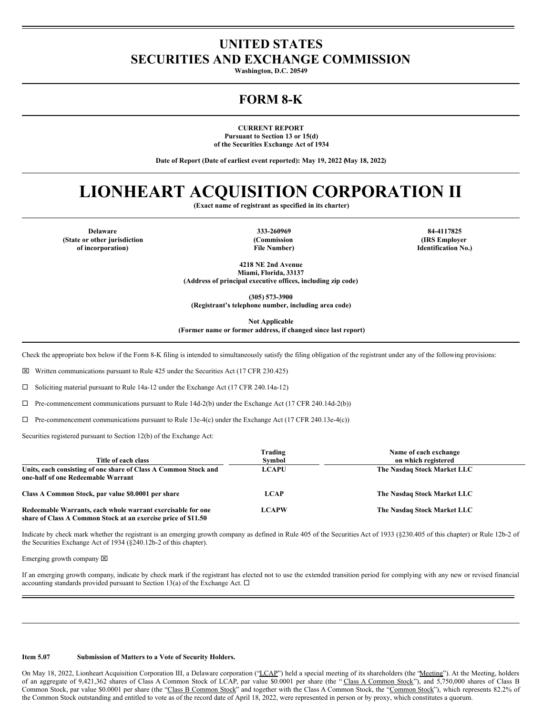## **UNITED STATES SECURITIES AND EXCHANGE COMMISSION**

**Washington, D.C. 20549**

### **FORM 8-K**

**CURRENT REPORT Pursuant to Section 13 or 15(d) of the Securities Exchange Act of 1934**

**Date of Report (Date of earliest event reported): May 19, 2022 (May 18, 2022)**

# **LIONHEART ACQUISITION CORPORATION II**

**(Exact name of registrant as specified in its charter)**

**Delaware 333-260969 84-4117825 (State or other jurisdiction of incorporation)**

**(Commission File Number)**

**(IRS Employer Identification No.)**

**4218 NE 2nd Avenue Miami, Florida, 33137 (Address of principal executive offices, including zip code)**

**(305) 573-3900**

**(Registrant's telephone number, including area code)**

**Not Applicable**

**(Former name or former address, if changed since last report)**

Check the appropriate box below if the Form 8-K filing is intended to simultaneously satisfy the filing obligation of the registrant under any of the following provisions:

 $\boxtimes$  Written communications pursuant to Rule 425 under the Securities Act (17 CFR 230.425)

¨ Soliciting material pursuant to Rule 14a-12 under the Exchange Act (17 CFR 240.14a-12)

 $\Box$  Pre-commencement communications pursuant to Rule 14d-2(b) under the Exchange Act (17 CFR 240.14d-2(b))

 $\Box$  Pre-commencement communications pursuant to Rule 13e-4(c) under the Exchange Act (17 CFR 240.13e-4(c))

Securities registered pursuant to Section 12(b) of the Exchange Act:

| Title of each class                                                                                                          | Trading<br>Symbol | Name of each exchange<br>on which registered |
|------------------------------------------------------------------------------------------------------------------------------|-------------------|----------------------------------------------|
| Units, each consisting of one share of Class A Common Stock and<br>one-half of one Redeemable Warrant                        | <b>LCAPU</b>      | The Nasdaq Stock Market LLC                  |
| Class A Common Stock, par value \$0.0001 per share                                                                           | <b>LCAP</b>       | The Nasdaq Stock Market LLC                  |
| Redeemable Warrants, each whole warrant exercisable for one<br>share of Class A Common Stock at an exercise price of \$11.50 | <b>LCAPW</b>      | The Nasdaq Stock Market LLC                  |

Indicate by check mark whether the registrant is an emerging growth company as defined in Rule 405 of the Securities Act of 1933 (§230.405 of this chapter) or Rule 12b-2 of the Securities Exchange Act of 1934 (§240.12b-2 of this chapter).

Emerging growth company  $[**X**]$ 

If an emerging growth company, indicate by check mark if the registrant has elected not to use the extended transition period for complying with any new or revised financial accounting standards provided pursuant to Section 13(a) of the Exchange Act.  $\Box$ 

#### **Item 5.07 Submission of Matters to a Vote of Security Holders.**

On May 18, 2022, Lionheart Acquisition Corporation III, a Delaware corporation ("LCAP") held a special meeting of its shareholders (the "Meeting"). At the Meeting, holders of an aggregate of 9,421,362 shares of Class A Common Stock of LCAP, par value \$0.0001 per share (the "Class A Common Stock"), and 5,750,000 shares of Class B Common Stock, par value \$0.0001 per share (the "Class B Common Stock" and together with the Class A Common Stock, the "Common Stock"), which represents 82.2% of the Common Stock outstanding and entitled to vote as of the record date of April 18, 2022, were represented in person or by proxy, which constitutes a quorum.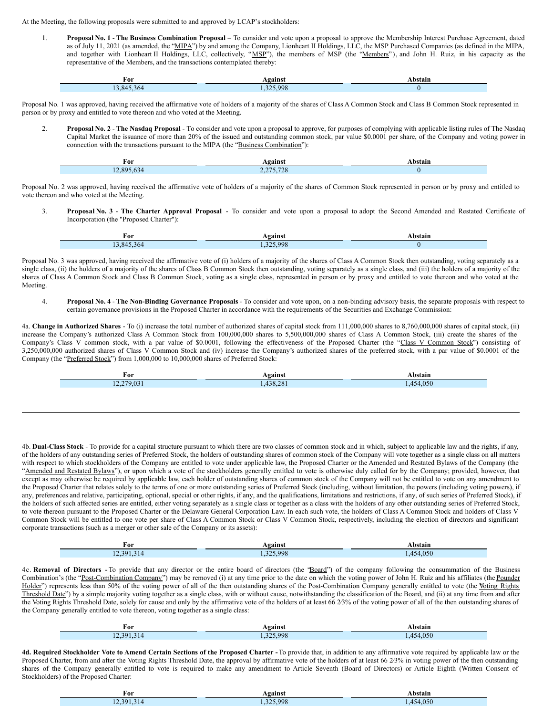At the Meeting, the following proposals were submitted to and approved by LCAP's stockholders:

Г

1. **Proposal No. 1** - **The Business Combination Proposal** – To consider and vote upon a proposal to approve the Membership Interest Purchase Agreement, dated as of July 11, 2021 (as amended, the "MIPA") by and among the Company, Lionheart II Holdings, LLC, the MSP Purchased Companies (as defined in the MIPA, and together with Lionheart II Holdings, LLC, collectively, "MSP"), the members of MSP (the "Members"), and John H. Ruiz, in his capacity as the representative of the Members, and the transactions contemplated thereby:

| For     | <b>\gainst</b> | Abstain |
|---------|----------------|---------|
| 845.364 | 1.325.998      |         |

Proposal No. 1 was approved, having received the affirmative vote of holders of a majority of the shares of Class A Common Stock and Class B Common Stock represented in person or by proxy and entitled to vote thereon and who voted at the Meeting.

2. **Proposal No. 2** - **The Nasdaq Proposal** - To consider and vote upon a proposal to approve, for purposes of complying with applicable listing rules of The Nasdaq Capital Market the issuance of more than 20% of the issued and outstanding common stock, par value \$0.0001 per share, of the Company and voting power in connection with the transactions pursuant to the MIPA (the "Business Combination"):

| For        | gainst                         | bstain |
|------------|--------------------------------|--------|
| 12.895.634 | 2275.700<br>3.120<br>$\sim -1$ |        |

Proposal No. 2 was approved, having received the affirmative vote of holders of a majority of the shares of Common Stock represented in person or by proxy and entitled to vote thereon and who voted at the Meeting.

3. **Proposal No. 3** - **The Charter Approval Proposal** - To consider and vote upon a proposal to adopt the Second Amended and Restated Certificate of Incorporation (the "Proposed Charter"):

| For<br>____ | <b>eainst</b> | bstain |
|-------------|---------------|--------|
| .364<br>84  | 325.998       |        |

Proposal No. 3 was approved, having received the affirmative vote of (i) holders of a majority of the shares of Class A Common Stock then outstanding, voting separately as a single class, (ii) the holders of a majority of the shares of Class B Common Stock then outstanding, voting separately as a single class, and (iii) the holders of a majority of the shares of Class A Common Stock and Class B Common Stock, voting as a single class, represented in person or by proxy and entitled to vote thereon and who voted at the Meeting.

4. **Proposal No. 4** - **The Non-Binding Governance Proposals** - To consider and vote upon, on a non-binding advisory basis, the separate proposals with respect to certain governance provisions in the Proposed Charter in accordance with the requirements of the Securities and Exchange Commission:

4a. **Change in Authorized Shares** - To (i) increase the total number of authorized shares of capital stock from 111,000,000 shares to 8,760,000,000 shares of capital stock, (ii) increase the Company's authorized Class A Common Stock from 100,000,000 shares to 5,500,000,000 shares of Class A Common Stock, (iii) create the shares of the Company's Class V common stock, with a par value of \$0.0001, following the effectiveness of the Proposed Charter (the "Class V Common Stock") consisting of 3,250,000,000 authorized shares of Class V Common Stock and (iv) increase the Company's authorized shares of the preferred stock, with a par value of \$0.0001 of the Company (the "Preferred Stock") from 1,000,000 to 10,000,000 shares of Preferred Stock:

| †or                               | vgainst  | .bstain  |
|-----------------------------------|----------|----------|
| 270.031<br>. UJ -<br>$   -$<br>-- | .438.281 | .454.050 |
|                                   |          |          |

4b. **Dual-Class Stock** - To provide for a capital structure pursuant to which there are two classes of common stock and in which, subject to applicable law and the rights, if any, of the holders of any outstanding series of Preferred Stock, the holders of outstanding shares of common stock of the Company will vote together as a single class on all matters with respect to which stockholders of the Company are entitled to vote under applicable law, the Proposed Charter or the Amended and Restated Bylaws of the Company (the "Amended and Restated Bylaws"), or upon which a vote of the stockholders generally entitled to vote is otherwise duly called for by the Company; provided, however, that except as may otherwise be required by applicable law, each holder of outstanding shares of common stock of the Company will not be entitled to vote on any amendment to the Proposed Charter that relates solely to the terms of one or more outstanding series of Preferred Stock (including, without limitation, the powers (including voting powers), if any, preferences and relative, participating, optional, special or other rights, if any, and the qualifications, limitations and restrictions, if any, of such series of Preferred Stock), if the holders of such affected series are entitled, either voting separately as a single class or together as a class with the holders of any other outstanding series of Preferred Stock, to vote thereon pursuant to the Proposed Charter or the Delaware General Corporation Law. In each such vote, the holders of Class A Common Stock and holders of Class V Common Stock will be entitled to one vote per share of Class A Common Stock or Class V Common Stock, respectively, including the election of directors and significant corporate transactions (such as a merger or other sale of the Company or its assets):

| For           | Against | <b>\bstain</b> |
|---------------|---------|----------------|
| 201<br>$\sim$ | 325.998 | 050<br>z<br>.  |

4c. **Removal of Directors -** To provide that any director or the entire board of directors (the "Board") of the company following the consummation of the Business Combination's (the "Post-Combination Company") may be removed (i) at any time prior to the date on which the voting power of John H. Ruiz and his affiliates (the Founder Holder") represents less than 50% of the voting power of all of the then outstanding shares of the Post-Combination Company generally entitled to vote (the Voting Rights Threshold Date") by a simple majority voting together as a single class, with or without cause, notwithstanding the classification of the Board, and (ii) at any time from and after the Voting Rights Threshold Date, solely for cause and only by the affirmative vote of the holders of at least 66 23% of the voting power of all of the then outstanding shares of the Company generally entitled to vote thereon, voting together as a single class:

| For   | <b>gainst</b> | bstain                        |
|-------|---------------|-------------------------------|
| 2.301 | 5.998<br>つつよ  | .050<br>$\overline{AB}$<br>۱4 |

4d. Required Stockholder Vote to Amend Certain Sections of the Proposed Charter - To provide that, in addition to any affirmative vote required by applicable law or the Proposed Charter, from and after the Voting Rights Threshold Date, the approval by affirmative vote of the holders of at least 66 2/3% in voting power of the then outstanding shares of the Company generally entitled to vote is required to make any amendment to Article Seventh (Board of Directors) or Article Eighth (Written Consent of Stockholders) of the Proposed Charter:

| For             | \9ainst | hstain                        |
|-----------------|---------|-------------------------------|
| 12.391<br>3 I 4 | 325 998 | .050<br>$\Lambda$ 5 $\Lambda$ |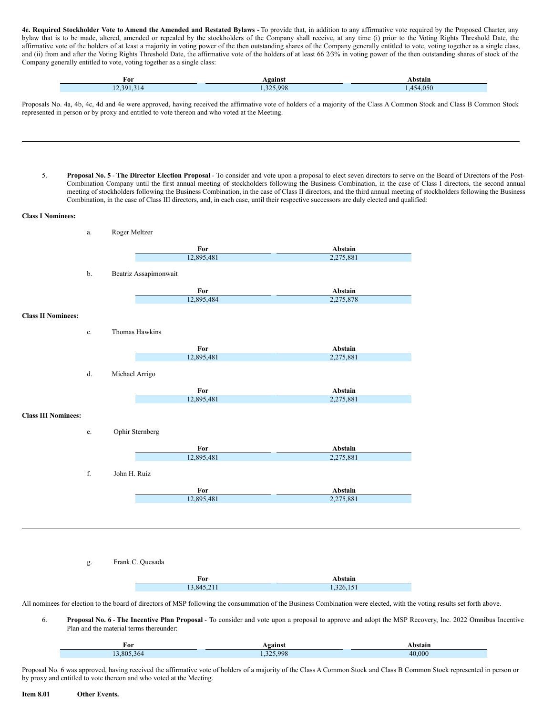4e. Required Stockholder Vote to Amend the Amended and Restated Bylaws - To provide that, in addition to any affirmative vote required by the Proposed Charter, any bylaw that is to be made, altered, amended or repealed by the stockholders of the Company shall receive, at any time (i) prior to the Voting Rights Threshold Date, the affirmative vote of the holders of at least a majority in voting power of the then outstanding shares of the Company generally entitled to vote, voting together as a single class, and (ii) from and after the Voting Rights Threshold Date, the affirmative vote of the holders of at least 66 23% in voting power of the then outstanding shares of stock of the Company generally entitled to vote, voting together as a single class:

| For                                                                 | Voains  | <b>\bstain</b> |
|---------------------------------------------------------------------|---------|----------------|
| and the contract of the contract of the contract of<br>12.301<br>__ | 325.998 | .050<br>.      |

Proposals No. 4a, 4b, 4c, 4d and 4e were approved, having received the affirmative vote of holders of a majority of the Class A Common Stock and Class B Common Stock represented in person or by proxy and entitled to vote thereon and who voted at the Meeting.

5. **Proposal No. 5** - **The Director Election Proposal** - To consider and vote upon a proposal to elect seven directors to serve on the Board of Directors of the Post-Combination Company until the first annual meeting of stockholders following the Business Combination, in the case of Class I directors, the second annual meeting of stockholders following the Business Combination, in the case of Class II directors, and the third annual meeting of stockholders following the Business Combination, in the case of Class III directors, and, in each case, until their respective successors are duly elected and qualified:

#### **Class I Nominees:**

|                            | a.            | Roger Meltzer         |            |           |
|----------------------------|---------------|-----------------------|------------|-----------|
|                            |               |                       | For        | Abstain   |
|                            |               |                       | 12,895,481 | 2,275,881 |
|                            |               |                       |            |           |
|                            | b.            | Beatriz Assapimonwait |            |           |
|                            |               |                       | For        | Abstain   |
|                            |               |                       | 12,895,484 | 2,275,878 |
| <b>Class II Nominees:</b>  |               |                       |            |           |
|                            | $\mathbf{c}.$ | Thomas Hawkins        |            |           |
|                            |               |                       | For        | Abstain   |
|                            |               |                       | 12,895,481 | 2,275,881 |
|                            |               |                       |            |           |
|                            | d.            | Michael Arrigo        |            |           |
|                            |               |                       | For        | Abstain   |
|                            |               |                       | 12,895,481 | 2,275,881 |
| <b>Class III Nominees:</b> |               |                       |            |           |
|                            |               |                       |            |           |
|                            | $\rm e.$      | Ophir Sternberg       |            |           |
|                            |               |                       | For        | Abstain   |
|                            |               |                       | 12,895,481 | 2,275,881 |
|                            |               |                       |            |           |
|                            | $\mathbf f$   | John H. Ruiz          |            |           |
|                            |               |                       | For        | Abstain   |
|                            |               |                       | 12,895,481 | 2,275,881 |
|                            |               |                       |            |           |
|                            |               |                       |            |           |
|                            |               |                       |            |           |
|                            |               |                       |            |           |
|                            |               |                       |            |           |
|                            | g.            | Frank C. Quesada      |            |           |
|                            |               |                       | For        | Abstain   |
|                            |               |                       | 13.845.211 | 1.326.151 |

All nominees for election to the board of directors of MSP following the consummation of the Business Combination were elected, with the voting results set forth above.

6. **Proposal No. 6** - **The Incentive Plan Proposal** - To consider and vote upon a proposal to approve and adopt the MSP Recovery, Inc. 2022 Omnibus Incentive Plan and the material terms thereunder:

| For       | <b>\gainst</b> | bstain |
|-----------|----------------|--------|
| 3.805.364 | .325.998       | 40,000 |

Proposal No. 6 was approved, having received the affirmative vote of holders of a majority of the Class A Common Stock and Class B Common Stock represented in person or by proxy and entitled to vote thereon and who voted at the Meeting.